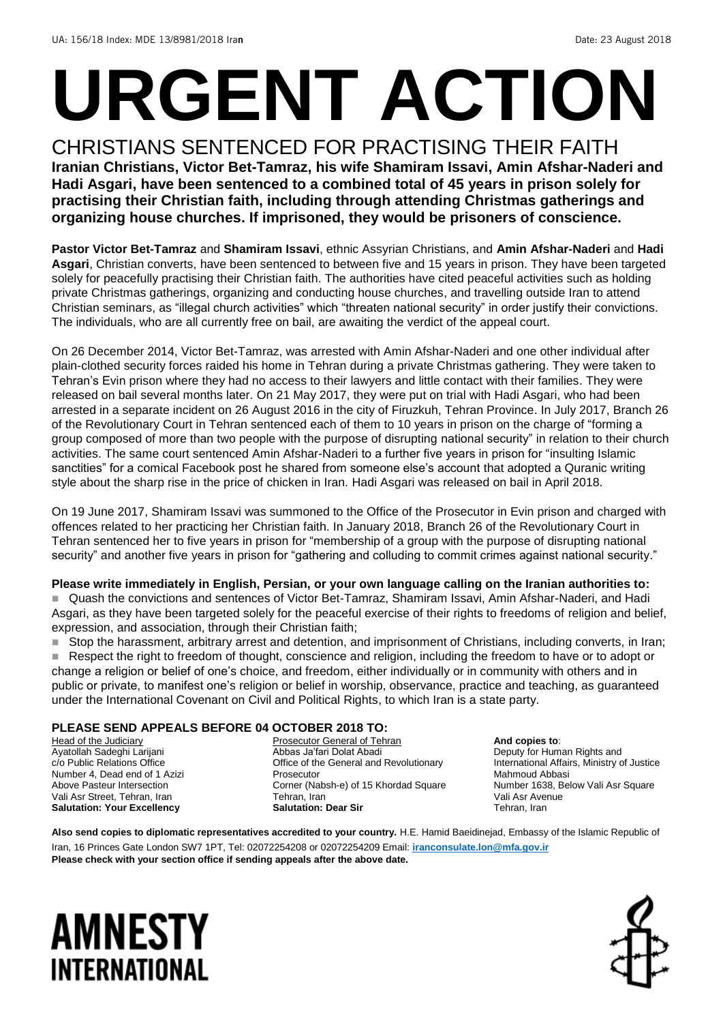# **URGENT ACTION**

CHRISTIANS SENTENCED FOR PRACTISING THEIR FAITH **Iranian Christians, Victor Bet-Tamraz, his wife Shamiram Issavi, Amin Afshar-Naderi and Hadi Asgari, have been sentenced to a combined total of 45 years in prison solely for practising their Christian faith, including through attending Christmas gatherings and organizing house churches. If imprisoned, they would be prisoners of conscience.**

**Pastor Victor Bet-Tamraz** and **Shamiram Issavi**, ethnic Assyrian Christians, and **Amin Afshar-Naderi** and **Hadi Asgari**, Christian converts, have been sentenced to between five and 15 years in prison. They have been targeted solely for peacefully practising their Christian faith. The authorities have cited peaceful activities such as holding private Christmas gatherings, organizing and conducting house churches, and travelling outside Iran to attend Christian seminars, as "illegal church activities" which "threaten national security" in order justify their convictions. The individuals, who are all currently free on bail, are awaiting the verdict of the appeal court.

On 26 December 2014, Victor Bet-Tamraz, was arrested with Amin Afshar-Naderi and one other individual after plain-clothed security forces raided his home in Tehran during a private Christmas gathering. They were taken to Tehran's Evin prison where they had no access to their lawyers and little contact with their families. They were released on bail several months later. On 21 May 2017, they were put on trial with Hadi Asgari, who had been arrested in a separate incident on 26 August 2016 in the city of Firuzkuh, Tehran Province. In July 2017, Branch 26 of the Revolutionary Court in Tehran sentenced each of them to 10 years in prison on the charge of "forming a group composed of more than two people with the purpose of disrupting national security" in relation to their church activities. The same court sentenced Amin Afshar-Naderi to a further five years in prison for "insulting Islamic sanctities" for a comical Facebook post he shared from someone else's account that adopted a Quranic writing style about the sharp rise in the price of chicken in Iran. Hadi Asgari was released on bail in April 2018.

On 19 June 2017, Shamiram Issavi was summoned to the Office of the Prosecutor in Evin prison and charged with offences related to her practicing her Christian faith. In January 2018, Branch 26 of the Revolutionary Court in Tehran sentenced her to five years in prison for "membership of a group with the purpose of disrupting national security" and another five years in prison for "gathering and colluding to commit crimes against national security."

### **Please write immediately in English, Persian, or your own language calling on the Iranian authorities to:**

■ Quash the convictions and sentences of Victor Bet-Tamraz, Shamiram Issavi, Amin Afshar-Naderi, and Hadi Asgari, as they have been targeted solely for the peaceful exercise of their rights to freedoms of religion and belief, expression, and association, through their Christian faith;

■ Stop the harassment, arbitrary arrest and detention, and imprisonment of Christians, including converts, in Iran;

■ Respect the right to freedom of thought, conscience and religion, including the freedom to have or to adopt or change a religion or belief of one's choice, and freedom, either individually or in community with others and in public or private, to manifest one's religion or belief in worship, observance, practice and teaching, as guaranteed under the International Covenant on Civil and Political Rights, to which Iran is a state party.

### **PLEASE SEND APPEALS BEFORE 04 OCTOBER 2018 TO:**

**Head of the Judiciary** Ayatollah Sadeghi Larijani c/o Public Relations Office Number 4, Dead end of 1 Azizi Above Pasteur Intersection Vali Asr Street, Tehran, Iran **Salutation: Your Excellency** 

Prosecutor General of Tehran Abbas Ja'fari Dolat Abadi Office of the General and Revolutionary Prosecutor Corner (Nabsh-e) of 15 Khordad Square Tehran, Iran **Salutation: Dear Sir**

**And copies to**: Deputy for Human Rights and International Affairs, Ministry of Justice Mahmoud Abbasi Number 1638, Below Vali Asr Square Vali Asr Avenue Tehran, Iran

**Also send copies to diplomatic representatives accredited to your country.** H.E. Hamid Baeidinejad, Embassy of the Islamic Republic of Iran, 16 Princes Gate London SW7 1PT, Tel: 02072254208 or 02072254209 Email: **[iranconsulate.lon@mfa.gov.ir](mailto:iranconsulate.lon@mfa.gov.ir) Please check with your section office if sending appeals after the above date.**